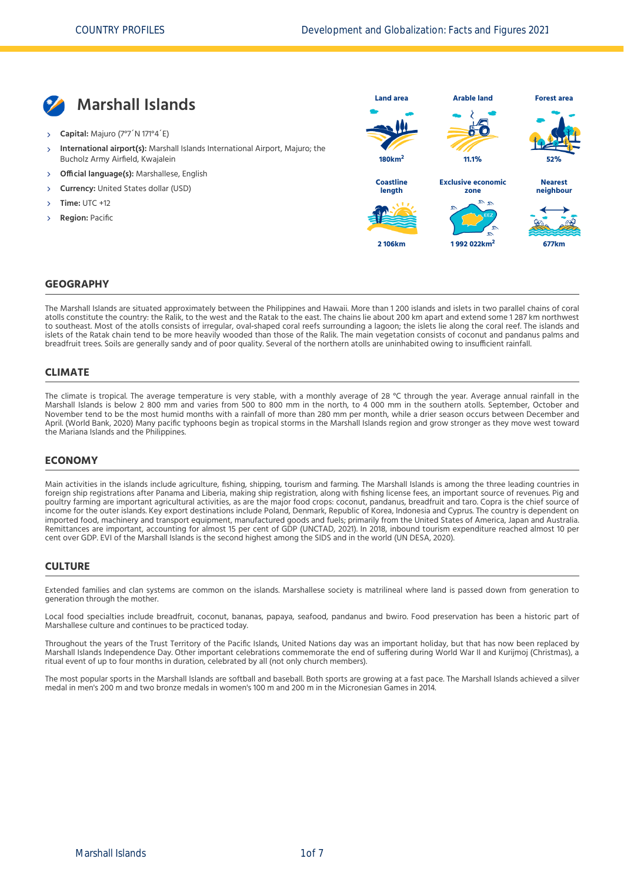

- **Capital:** Majuro (7°7´N 171°4´E)
- **International airport(s):** Marshall Islands International Airport, Majuro; the Bucholz Army Airfield, Kwajalein  $\overline{\phantom{a}}$
- **Official language(s):** Marshallese, English
- **Currency:** United States dollar (USD)
- **Time:** UTC +12
- **Region:** Pacific



#### **GEOGRAPHY**

The Marshall Islands are situated approximately between the Philippines and Hawaii. More than 1 200 islands and islets in two parallel chains of coral atolls constitute the country: the Ralik, to the west and the Ratak to the east. The chains lie about 200 km apart and extend some 1 287 km northwest to southeast. Most of the atolls consists of irregular, oval-shaped coral reefs surrounding a lagoon; the islets lie along the coral reef. The islands and islets of the Ratak chain tend to be more heavily wooded than those of the Ralik. The main vegetation consists of coconut and pandanus palms and breadfruit trees. Soils are generally sandy and of poor quality. Several of the northern atolls are uninhabited owing to insufficient rainfall.

### **CLIMATE**

The climate is tropical. The average temperature is very stable, with a monthly average of 28 °C through the year. Average annual rainfall in the Marshall Islands is below 2 800 mm and varies from 500 to 800 mm in the north, to 4 000 mm in the southern atolls. September, October and November tend to be the most humid months with a rainfall of more than 280 mm per month, while a drier season occurs between December and April. [\(World Bank, 2020\)](#page-6-0) Many pacific typhoons begin as tropical storms in the Marshall Islands region and grow stronger as they move west toward the Mariana Islands and the Philippines.

#### **ECONOMY**

Main activities in the islands include agriculture, fishing, shipping, tourism and farming. The Marshall Islands is among the three leading countries in foreign ship registrations after Panama and Liberia, making ship registration, along with fishing license fees, an important source of revenues. Pig and poultry farming are important agricultural activities, as are the major food crops: coconut, pandanus, breadfruit and taro. Copra is the chief source of income for the outer islands. Key export destinations include Poland, Denmark, Republic of Korea, Indonesia and Cyprus. The country is dependent on imported food, machinery and transport equipment, manufactured goods and fuels; primarily from the United States of America, Japan and Australia. Remittances are important, accounting for almost 15 per cent of GDP [\(UNCTAD, 2021\)](#page-6-1). In 2018, inbound tourism expenditure reached almost 10 per cent over GDP. EVI of the Marshall Islands is the second highest among the SIDS and in the world [\(UN DESA, 2020\)](#page-6-2).

#### **CULTURE**

Extended families and clan systems are common on the islands. Marshallese society is matrilineal where land is passed down from generation to generation through the mother.

Local food specialties include breadfruit, coconut, bananas, papaya, seafood, pandanus and bwiro. Food preservation has been a historic part of Marshallese culture and continues to be practiced today.

Throughout the years of the Trust Territory of the Pacific Islands, United Nations day was an important holiday, but that has now been replaced by Marshall Islands Independence Day. Other important celebrations commemorate the end of suffering during World War II and Kurijmoj (Christmas), a ritual event of up to four months in duration, celebrated by all (not only church members).

The most popular sports in the Marshall Islands are softball and baseball. Both sports are growing at a fast pace. The Marshall Islands achieved a silver medal in men's 200 m and two bronze medals in women's 100 m and 200 m in the Micronesian Games in 2014.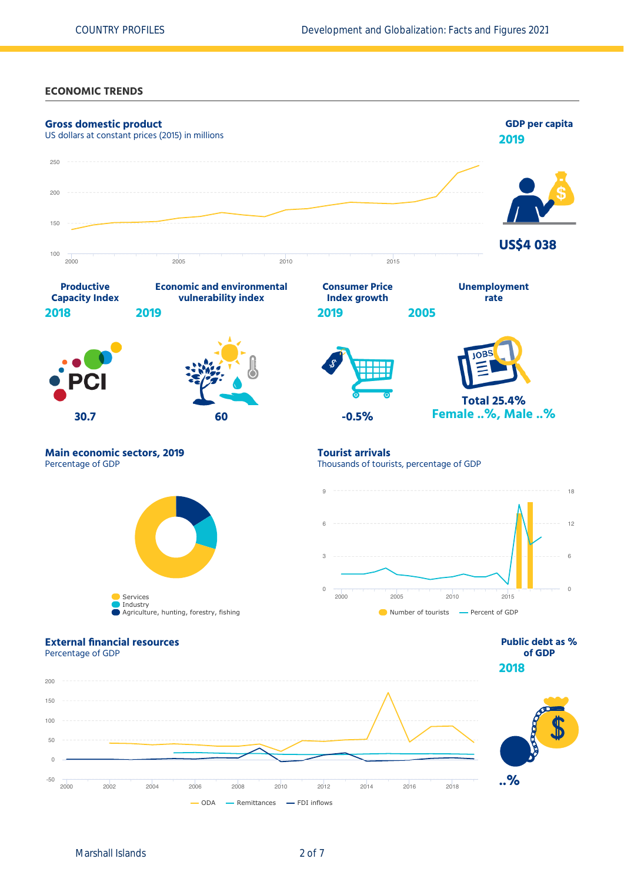### **ECONOMIC TRENDS**

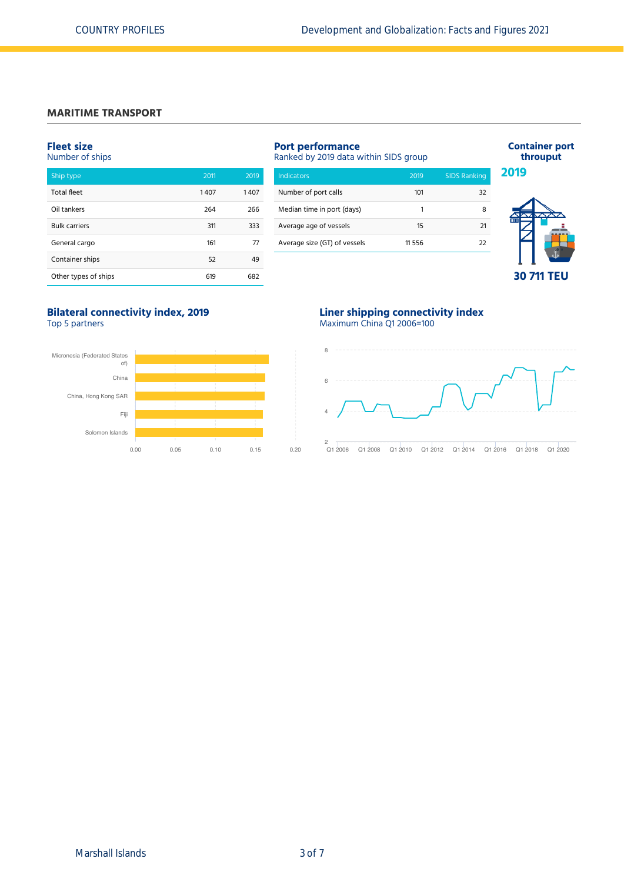# **MARITIME TRANSPORT**

#### **Fleet size** Number of ships

| Ship type            | 2011 | 2019 |
|----------------------|------|------|
| <b>Total fleet</b>   | 1407 | 1407 |
| Oil tankers          | 264  | 266  |
| <b>Bulk carriers</b> | 311  | 333  |
| General cargo        | 161  | 77   |
| Container ships      | 52   | 49   |
| Other types of ships | 619  | 682  |

# **Port performance**

Ranked by 2019 data within SIDS group

| <b>Indicators</b>            | 2019     | <b>SIDS Ranking</b> |
|------------------------------|----------|---------------------|
| Number of port calls         | 101      | 32                  |
| Median time in port (days)   | 1        | я                   |
| Average age of vessels       | 15       | -21                 |
| Average size (GT) of vessels | 11 5 5 6 | フフ                  |
|                              |          |                     |



**Container port throuput**

# **Bilateral connectivity index, 2019**

Top 5 partners



# **Liner shipping connectivity index**

Maximum China Q1 2006=100

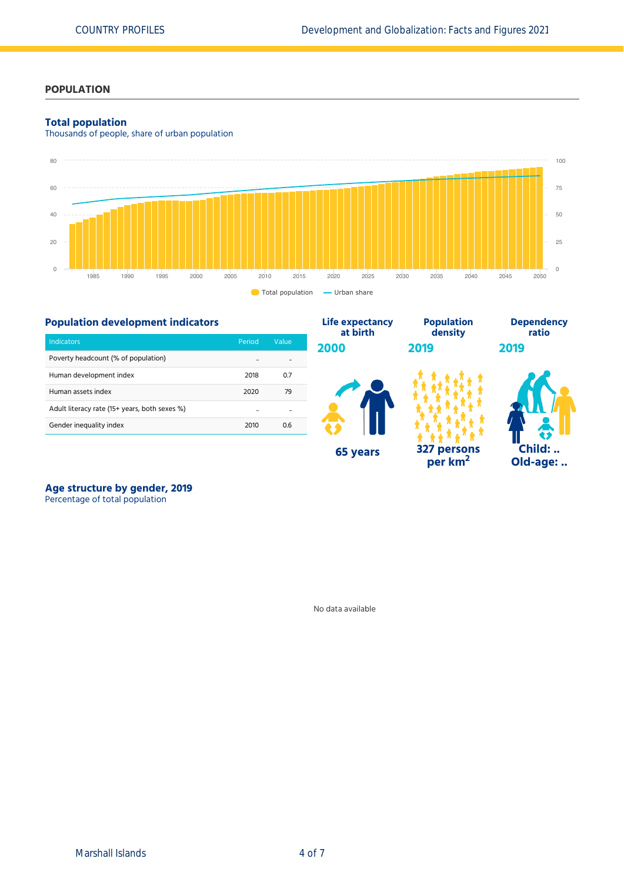# **POPULATION**

### **Total population**

Thousands of people, share of urban population



## **Population development indicators**

| <b>Indicators</b>                             | Period               | Value |  |
|-----------------------------------------------|----------------------|-------|--|
| Poverty headcount (% of population)           | $\ddot{\phantom{a}}$ |       |  |
| Human development index                       | 2018                 | 0.7   |  |
| Human assets index                            | 2020                 | 79    |  |
| Adult literacy rate (15+ years, both sexes %) |                      |       |  |
| Gender inequality index                       | 2010                 | 0.6   |  |



# **Age structure by gender, 2019**

Percentage of total population

No data available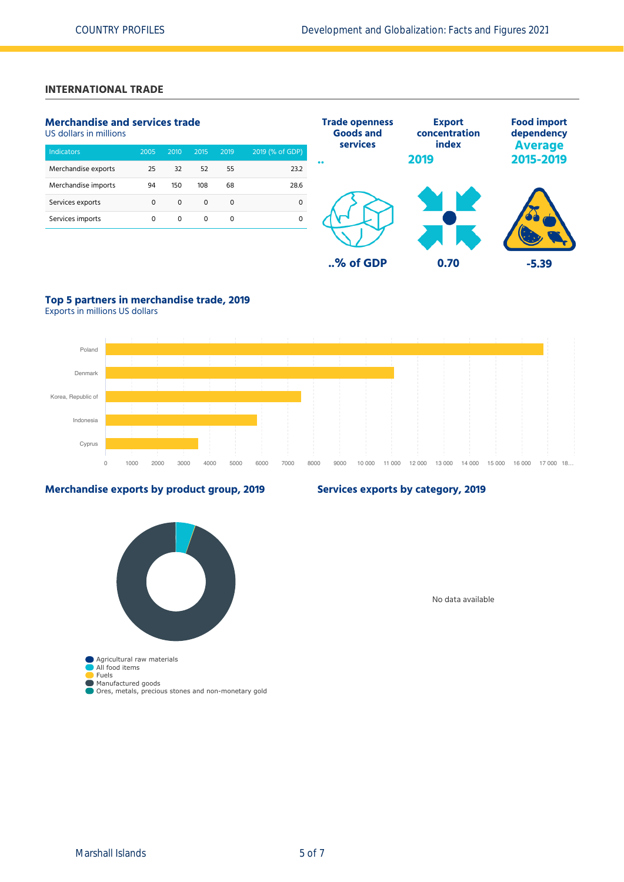# **INTERNATIONAL TRADE**

# **Merchandise and services trade**

US dollars in millions

| <b>Indicators</b>   | 2005 | 2010 | 2015     | 2019 | 2019 (% of GDP) |
|---------------------|------|------|----------|------|-----------------|
| Merchandise exports | 25   | 32   | 52       | 55   | 23.2            |
| Merchandise imports | 94   | 150  | 108      | 68   | 28.6            |
| Services exports    | 0    | 0    | 0        | 0    |                 |
| Services imports    | 0    | 0    | $\Omega$ | O    |                 |
|                     |      |      |          |      |                 |



# **Top 5 partners in merchandise trade, 2019**

Exports in millions US dollars



## **Merchandise exports by product group, 2019**

## **Services exports by category, 2019**

Agricultural raw materials All food items Fuels Manufactured goods Ores, metals, precious stones and non-monetary gold

No data available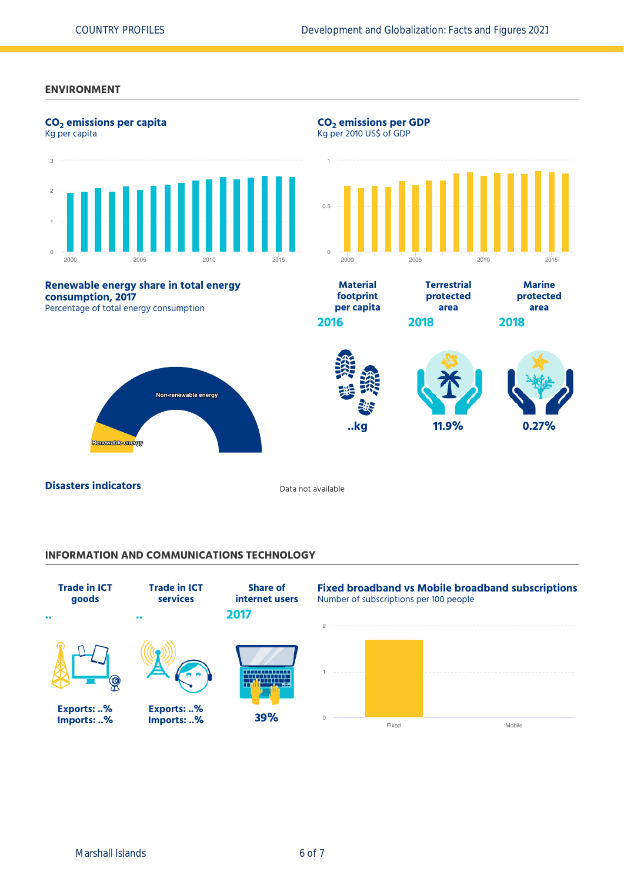#### **ENVIRONMENT**



### **INFORMATION AND COMMUNICATIONS TECHNOLOGY**